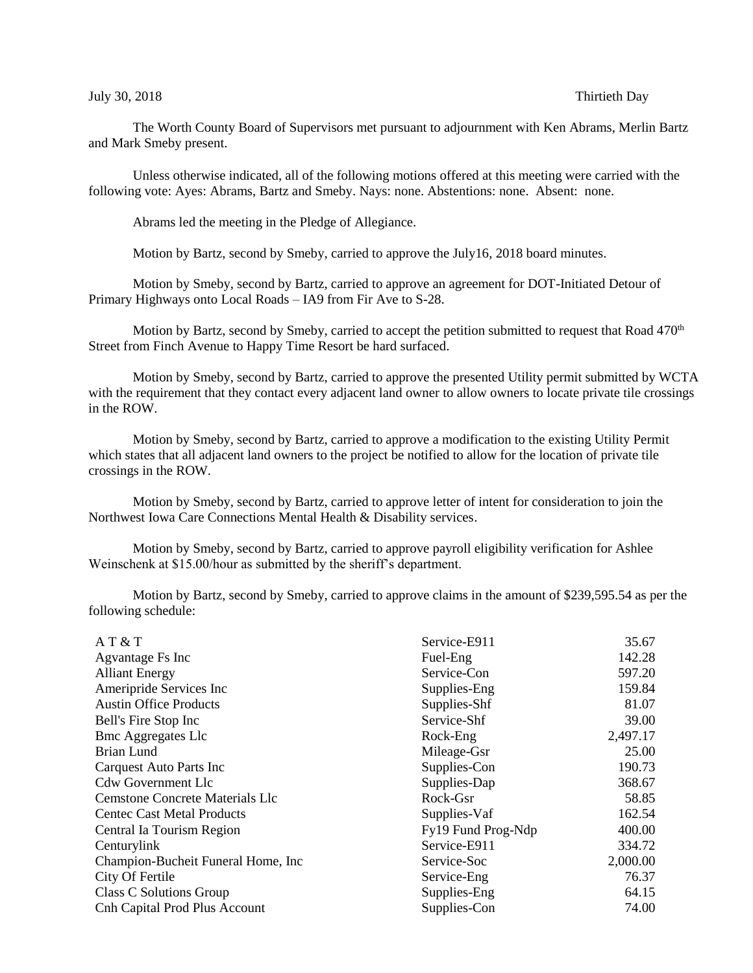## July 30, 2018 Thirtieth Day

The Worth County Board of Supervisors met pursuant to adjournment with Ken Abrams, Merlin Bartz and Mark Smeby present.

Unless otherwise indicated, all of the following motions offered at this meeting were carried with the following vote: Ayes: Abrams, Bartz and Smeby. Nays: none. Abstentions: none. Absent: none.

Abrams led the meeting in the Pledge of Allegiance.

Motion by Bartz, second by Smeby, carried to approve the July16, 2018 board minutes.

Motion by Smeby, second by Bartz, carried to approve an agreement for DOT-Initiated Detour of Primary Highways onto Local Roads – IA9 from Fir Ave to S-28.

Motion by Bartz, second by Smeby, carried to accept the petition submitted to request that Road 470<sup>th</sup> Street from Finch Avenue to Happy Time Resort be hard surfaced.

Motion by Smeby, second by Bartz, carried to approve the presented Utility permit submitted by WCTA with the requirement that they contact every adjacent land owner to allow owners to locate private tile crossings in the ROW.

Motion by Smeby, second by Bartz, carried to approve a modification to the existing Utility Permit which states that all adjacent land owners to the project be notified to allow for the location of private tile crossings in the ROW.

Motion by Smeby, second by Bartz, carried to approve letter of intent for consideration to join the Northwest Iowa Care Connections Mental Health & Disability services.

Motion by Smeby, second by Bartz, carried to approve payroll eligibility verification for Ashlee Weinschenk at \$15.00/hour as submitted by the sheriff's department.

Motion by Bartz, second by Smeby, carried to approve claims in the amount of \$239,595.54 as per the following schedule:

| AT & T                                 | Service-E911       | 35.67    |
|----------------------------------------|--------------------|----------|
| Agvantage Fs Inc                       | Fuel-Eng           | 142.28   |
| <b>Alliant Energy</b>                  | Service-Con        | 597.20   |
| Ameripride Services Inc                | Supplies-Eng       | 159.84   |
| <b>Austin Office Products</b>          | Supplies-Shf       | 81.07    |
| Bell's Fire Stop Inc                   | Service-Shf        | 39.00    |
| <b>Bmc Aggregates Llc</b>              | Rock-Eng           | 2,497.17 |
| <b>Brian Lund</b>                      | Mileage-Gsr        | 25.00    |
| <b>Carquest Auto Parts Inc</b>         | Supplies-Con       | 190.73   |
| <b>Cdw Government Llc</b>              | Supplies-Dap       | 368.67   |
| <b>Cemstone Concrete Materials Llc</b> | Rock-Gsr           | 58.85    |
| <b>Centec Cast Metal Products</b>      | Supplies-Vaf       | 162.54   |
| Central Ia Tourism Region              | Fy19 Fund Prog-Ndp | 400.00   |
| Centurylink                            | Service-E911       | 334.72   |
| Champion-Bucheit Funeral Home, Inc.    | Service-Soc        | 2,000.00 |
| City Of Fertile                        | Service-Eng        | 76.37    |
| Class C Solutions Group                | Supplies-Eng       | 64.15    |
| Cnh Capital Prod Plus Account          | Supplies-Con       | 74.00    |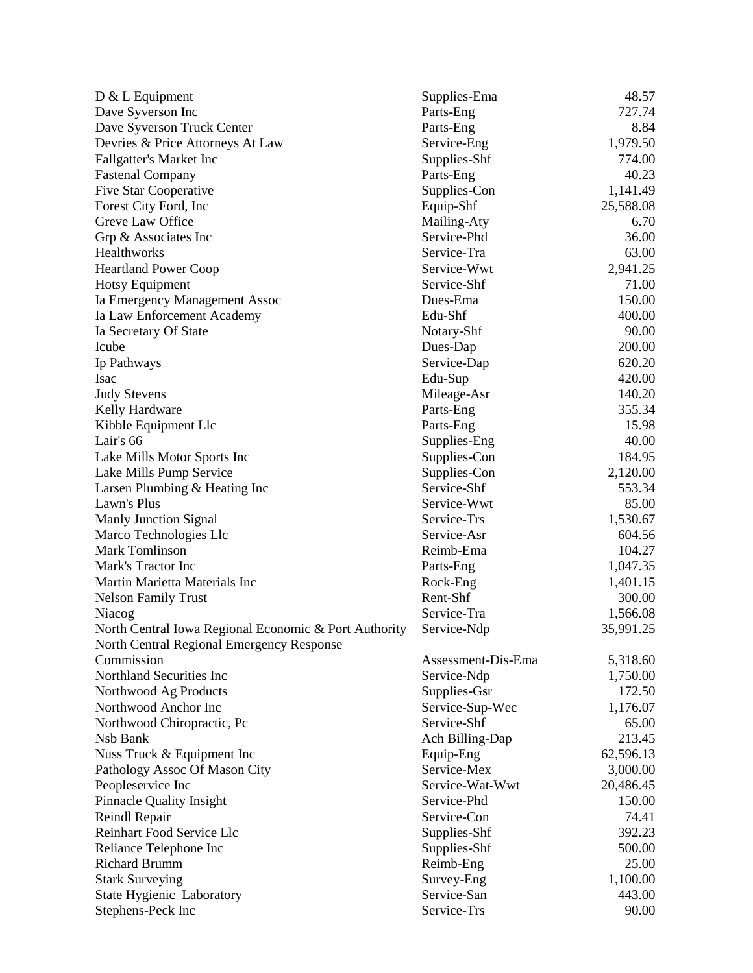| $D & L$ Equipment                                                                                  | Supplies-Ema       | 48.57     |
|----------------------------------------------------------------------------------------------------|--------------------|-----------|
| Dave Syverson Inc                                                                                  | Parts-Eng          | 727.74    |
| Dave Syverson Truck Center                                                                         | Parts-Eng          | 8.84      |
| Devries & Price Attorneys At Law                                                                   | Service-Eng        | 1,979.50  |
| <b>Fallgatter's Market Inc</b>                                                                     | Supplies-Shf       | 774.00    |
| <b>Fastenal Company</b>                                                                            | Parts-Eng          | 40.23     |
| <b>Five Star Cooperative</b>                                                                       | Supplies-Con       | 1,141.49  |
| Forest City Ford, Inc.                                                                             | Equip-Shf          | 25,588.08 |
| Greve Law Office                                                                                   | Mailing-Aty        | 6.70      |
| Grp & Associates Inc                                                                               | Service-Phd        | 36.00     |
| Healthworks                                                                                        | Service-Tra        | 63.00     |
| <b>Heartland Power Coop</b>                                                                        | Service-Wwt        | 2,941.25  |
| Hotsy Equipment                                                                                    | Service-Shf        | 71.00     |
| Ia Emergency Management Assoc                                                                      | Dues-Ema           | 150.00    |
| Ia Law Enforcement Academy                                                                         | Edu-Shf            | 400.00    |
| Ia Secretary Of State                                                                              | Notary-Shf         | 90.00     |
| Icube                                                                                              | Dues-Dap           | 200.00    |
| Ip Pathways                                                                                        | Service-Dap        | 620.20    |
| Isac                                                                                               | Edu-Sup            | 420.00    |
| <b>Judy Stevens</b>                                                                                | Mileage-Asr        | 140.20    |
| Kelly Hardware                                                                                     | Parts-Eng          | 355.34    |
| Kibble Equipment Llc                                                                               | Parts-Eng          | 15.98     |
| Lair's 66                                                                                          | Supplies-Eng       | 40.00     |
| Lake Mills Motor Sports Inc                                                                        | Supplies-Con       | 184.95    |
| Lake Mills Pump Service                                                                            | Supplies-Con       | 2,120.00  |
| Larsen Plumbing & Heating Inc                                                                      | Service-Shf        | 553.34    |
| Lawn's Plus                                                                                        | Service-Wwt        | 85.00     |
| <b>Manly Junction Signal</b>                                                                       | Service-Trs        | 1,530.67  |
| Marco Technologies Llc                                                                             | Service-Asr        | 604.56    |
| <b>Mark Tomlinson</b>                                                                              | Reimb-Ema          | 104.27    |
| Mark's Tractor Inc                                                                                 | Parts-Eng          | 1,047.35  |
| Martin Marietta Materials Inc                                                                      | Rock-Eng           | 1,401.15  |
| <b>Nelson Family Trust</b>                                                                         | Rent-Shf           | 300.00    |
| Niacog                                                                                             | Service-Tra        | 1,566.08  |
|                                                                                                    | Service-Ndp        | 35,991.25 |
| North Central Iowa Regional Economic & Port Authority<br>North Central Regional Emergency Response |                    |           |
| Commission                                                                                         | Assessment-Dis-Ema | 5,318.60  |
| Northland Securities Inc                                                                           | Service-Ndp        | 1,750.00  |
| Northwood Ag Products                                                                              | Supplies-Gsr       | 172.50    |
| Northwood Anchor Inc                                                                               | Service-Sup-Wec    | 1,176.07  |
| Northwood Chiropractic, Pc                                                                         | Service-Shf        | 65.00     |
| Nsb Bank                                                                                           | Ach Billing-Dap    | 213.45    |
| Nuss Truck & Equipment Inc                                                                         | Equip-Eng          | 62,596.13 |
| Pathology Assoc Of Mason City                                                                      | Service-Mex        | 3,000.00  |
| Peopleservice Inc                                                                                  | Service-Wat-Wwt    | 20,486.45 |
| Pinnacle Quality Insight                                                                           | Service-Phd        | 150.00    |
| Reindl Repair                                                                                      | Service-Con        | 74.41     |
| Reinhart Food Service Llc                                                                          | Supplies-Shf       | 392.23    |
| Reliance Telephone Inc                                                                             | Supplies-Shf       | 500.00    |
| <b>Richard Brumm</b>                                                                               | Reimb-Eng          | 25.00     |
| <b>Stark Surveying</b>                                                                             | Survey-Eng         | 1,100.00  |
| State Hygienic Laboratory                                                                          | Service-San        | 443.00    |
| Stephens-Peck Inc                                                                                  | Service-Trs        | 90.00     |